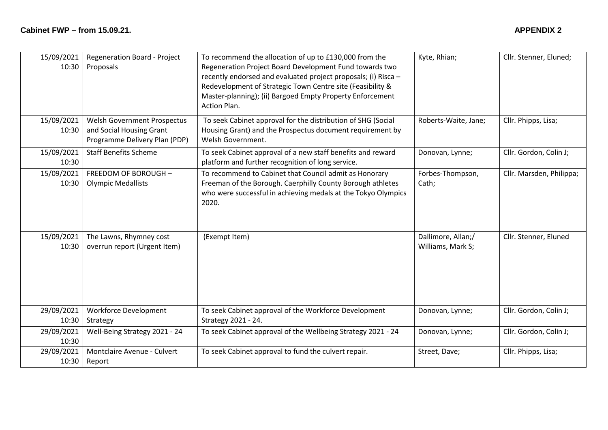| 15/09/2021<br>10:30 | Regeneration Board - Project<br>Proposals                                                | To recommend the allocation of up to £130,000 from the<br>Regeneration Project Board Development Fund towards two<br>recently endorsed and evaluated project proposals; (i) Risca -<br>Redevelopment of Strategic Town Centre site (Feasibility &<br>Master-planning); (ii) Bargoed Empty Property Enforcement<br>Action Plan. | Kyte, Rhian;                            | Cllr. Stenner, Eluned;   |
|---------------------|------------------------------------------------------------------------------------------|--------------------------------------------------------------------------------------------------------------------------------------------------------------------------------------------------------------------------------------------------------------------------------------------------------------------------------|-----------------------------------------|--------------------------|
| 15/09/2021<br>10:30 | Welsh Government Prospectus<br>and Social Housing Grant<br>Programme Delivery Plan (PDP) | To seek Cabinet approval for the distribution of SHG (Social<br>Housing Grant) and the Prospectus document requirement by<br>Welsh Government.                                                                                                                                                                                 | Roberts-Waite, Jane;                    | Cllr. Phipps, Lisa;      |
| 15/09/2021<br>10:30 | <b>Staff Benefits Scheme</b>                                                             | To seek Cabinet approval of a new staff benefits and reward<br>platform and further recognition of long service.                                                                                                                                                                                                               | Donovan, Lynne;                         | Cllr. Gordon, Colin J;   |
| 15/09/2021<br>10:30 | FREEDOM OF BOROUGH -<br><b>Olympic Medallists</b>                                        | To recommend to Cabinet that Council admit as Honorary<br>Freeman of the Borough. Caerphilly County Borough athletes<br>who were successful in achieving medals at the Tokyo Olympics<br>2020.                                                                                                                                 | Forbes-Thompson,<br>Cath;               | Cllr. Marsden, Philippa; |
| 15/09/2021<br>10:30 | The Lawns, Rhymney cost<br>overrun report (Urgent Item)                                  | (Exempt Item)                                                                                                                                                                                                                                                                                                                  | Dallimore, Allan;/<br>Williams, Mark S; | Cllr. Stenner, Eluned    |
| 29/09/2021<br>10:30 | <b>Workforce Development</b><br>Strategy                                                 | To seek Cabinet approval of the Workforce Development<br>Strategy 2021 - 24.                                                                                                                                                                                                                                                   | Donovan, Lynne;                         | Cllr. Gordon, Colin J;   |
| 29/09/2021<br>10:30 | Well-Being Strategy 2021 - 24                                                            | To seek Cabinet approval of the Wellbeing Strategy 2021 - 24                                                                                                                                                                                                                                                                   | Donovan, Lynne;                         | Cllr. Gordon, Colin J;   |
| 29/09/2021<br>10:30 | Montclaire Avenue - Culvert<br>Report                                                    | To seek Cabinet approval to fund the culvert repair.                                                                                                                                                                                                                                                                           | Street, Dave;                           | Cllr. Phipps, Lisa;      |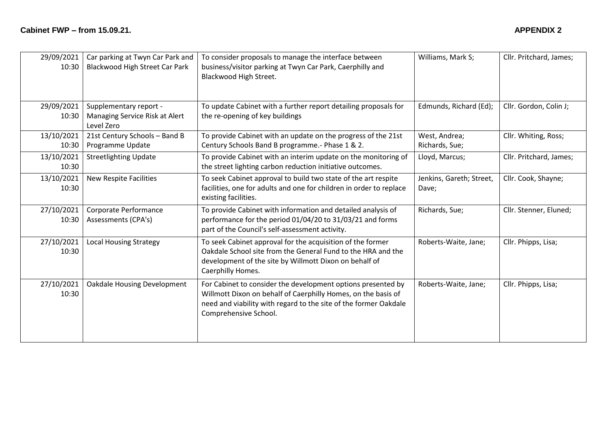| 29/09/2021<br>10:30 | Car parking at Twyn Car Park and<br>Blackwood High Street Car Park     | To consider proposals to manage the interface between<br>business/visitor parking at Twyn Car Park, Caerphilly and<br>Blackwood High Street.                                                                               | Williams, Mark S;                 | Cllr. Pritchard, James; |
|---------------------|------------------------------------------------------------------------|----------------------------------------------------------------------------------------------------------------------------------------------------------------------------------------------------------------------------|-----------------------------------|-------------------------|
| 29/09/2021<br>10:30 | Supplementary report -<br>Managing Service Risk at Alert<br>Level Zero | To update Cabinet with a further report detailing proposals for<br>the re-opening of key buildings                                                                                                                         | Edmunds, Richard (Ed);            | Cllr. Gordon, Colin J;  |
| 13/10/2021<br>10:30 | 21st Century Schools - Band B<br>Programme Update                      | To provide Cabinet with an update on the progress of the 21st<br>Century Schools Band B programme.- Phase 1 & 2.                                                                                                           | West, Andrea;<br>Richards, Sue;   | Cllr. Whiting, Ross;    |
| 13/10/2021<br>10:30 | <b>Streetlighting Update</b>                                           | To provide Cabinet with an interim update on the monitoring of<br>the street lighting carbon reduction initiative outcomes.                                                                                                | Lloyd, Marcus;                    | Cllr. Pritchard, James; |
| 13/10/2021<br>10:30 | <b>New Respite Facilities</b>                                          | To seek Cabinet approval to build two state of the art respite<br>facilities, one for adults and one for children in order to replace<br>existing facilities.                                                              | Jenkins, Gareth; Street,<br>Dave; | Cllr. Cook, Shayne;     |
| 27/10/2021<br>10:30 | Corporate Performance<br>Assessments (CPA's)                           | To provide Cabinet with information and detailed analysis of<br>performance for the period 01/04/20 to 31/03/21 and forms<br>part of the Council's self-assessment activity.                                               | Richards, Sue;                    | Cllr. Stenner, Eluned;  |
| 27/10/2021<br>10:30 | <b>Local Housing Strategy</b>                                          | To seek Cabinet approval for the acquisition of the former<br>Oakdale School site from the General Fund to the HRA and the<br>development of the site by Willmott Dixon on behalf of<br>Caerphilly Homes.                  | Roberts-Waite, Jane;              | Cllr. Phipps, Lisa;     |
| 27/10/2021<br>10:30 | <b>Oakdale Housing Development</b>                                     | For Cabinet to consider the development options presented by<br>Willmott Dixon on behalf of Caerphilly Homes, on the basis of<br>need and viability with regard to the site of the former Oakdale<br>Comprehensive School. | Roberts-Waite, Jane;              | Cllr. Phipps, Lisa;     |